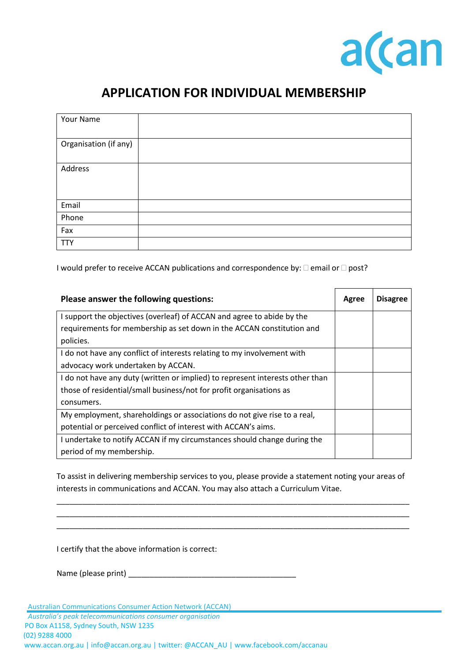

## **APPLICATION FOR INDIVIDUAL MEMBERSHIP**

| Your Name             |  |
|-----------------------|--|
| Organisation (if any) |  |
| Address               |  |
| Email                 |  |
| Phone                 |  |
| Fax                   |  |
| <b>TTY</b>            |  |

I would prefer to receive ACCAN publications and correspondence by:  $\Box$  email or  $\Box$  post?

| Please answer the following questions:                                        |  | <b>Disagree</b> |
|-------------------------------------------------------------------------------|--|-----------------|
| I support the objectives (overleaf) of ACCAN and agree to abide by the        |  |                 |
| requirements for membership as set down in the ACCAN constitution and         |  |                 |
| policies.                                                                     |  |                 |
| I do not have any conflict of interests relating to my involvement with       |  |                 |
| advocacy work undertaken by ACCAN.                                            |  |                 |
| I do not have any duty (written or implied) to represent interests other than |  |                 |
| those of residential/small business/not for profit organisations as           |  |                 |
| consumers.                                                                    |  |                 |
| My employment, shareholdings or associations do not give rise to a real,      |  |                 |
| potential or perceived conflict of interest with ACCAN's aims.                |  |                 |
| I undertake to notify ACCAN if my circumstances should change during the      |  |                 |
| period of my membership.                                                      |  |                 |

To assist in delivering membership services to you, please provide a statement noting your areas of interests in communications and ACCAN. You may also attach a Curriculum Vitae.

\_\_\_\_\_\_\_\_\_\_\_\_\_\_\_\_\_\_\_\_\_\_\_\_\_\_\_\_\_\_\_\_\_\_\_\_\_\_\_\_\_\_\_\_\_\_\_\_\_\_\_\_\_\_\_\_\_\_\_\_\_\_\_\_\_\_\_\_\_\_\_\_\_\_\_\_\_\_\_\_\_\_ \_\_\_\_\_\_\_\_\_\_\_\_\_\_\_\_\_\_\_\_\_\_\_\_\_\_\_\_\_\_\_\_\_\_\_\_\_\_\_\_\_\_\_\_\_\_\_\_\_\_\_\_\_\_\_\_\_\_\_\_\_\_\_\_\_\_\_\_\_\_\_\_\_\_\_\_\_\_\_\_\_\_ \_\_\_\_\_\_\_\_\_\_\_\_\_\_\_\_\_\_\_\_\_\_\_\_\_\_\_\_\_\_\_\_\_\_\_\_\_\_\_\_\_\_\_\_\_\_\_\_\_\_\_\_\_\_\_\_\_\_\_\_\_\_\_\_\_\_\_\_\_\_\_\_\_\_\_\_\_\_\_\_\_\_

I certify that the above information is correct:

Name (please print) \_\_\_\_\_\_\_\_\_\_\_\_\_\_\_\_\_\_\_\_\_\_\_\_\_\_\_\_\_\_\_\_\_\_\_\_\_\_\_

Australian Communications Consumer Action Network (ACCAN)

*Australia's peak telecommunications consumer organisation* PO Box A1158, Sydney South, NSW 1235 (02) 9288 4000 www.accan.org.au | info@accan.org.au | twitter: @ACCAN\_AU | www.facebook.com/accanau